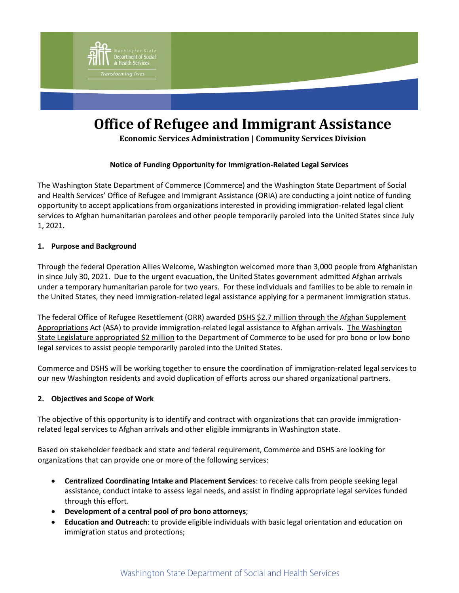

# **Office of Refugee and Immigrant Assistance**

**Economic Services Administration | Community Services Division**

### **Notice of Funding Opportunity for Immigration-Related Legal Services**

The Washington State Department of Commerce (Commerce) and the Washington State Department of Social and Health Services' Office of Refugee and Immigrant Assistance (ORIA) are conducting a joint notice of funding opportunity to accept applications from organizations interested in providing immigration-related legal client services to Afghan humanitarian parolees and other people temporarily paroled into the United States since July 1, 2021.

#### **1. Purpose and Background**

Through the federal Operation Allies Welcome, Washington welcomed more than 3,000 people from Afghanistan in since July 30, 2021. Due to the urgent evacuation, the United States government admitted Afghan arrivals under a temporary humanitarian parole for two years. For these individuals and families to be able to remain in the United States, they need immigration-related legal assistance applying for a permanent immigration status.

The federal Office of Refugee Resettlement (ORR) awarded DSHS \$2.7 million through the Afghan Supplement [Appropriations](https://www.acf.hhs.gov/sites/default/files/documents/orr/ORR-DCL-22-11-ASA-RSS-FY2022-Third-Allocation-Legal-Assistance.pdf) Act (ASA) to provide immigration-related legal assistance to Afghan arrivals. [The Washington](https://lawfilesext.leg.wa.gov/biennium/2021-22/Pdf/Bills/Session%20Laws/Senate/5693-S.SL.pdf#page=1)  [State Legislature appropriated \\$2](https://lawfilesext.leg.wa.gov/biennium/2021-22/Pdf/Bills/Session%20Laws/Senate/5693-S.SL.pdf#page=1) million to the Department of Commerce to be used for pro bono or low bono legal services to assist people temporarily paroled into the United States.

Commerce and DSHS will be working together to ensure the coordination of immigration-related legal services to our new Washington residents and avoid duplication of efforts across our shared organizational partners.

#### **2. Objectives and Scope of Work**

The objective of this opportunity is to identify and contract with organizations that can provide immigrationrelated legal services to Afghan arrivals and other eligible immigrants in Washington state.

Based on stakeholder feedback and state and federal requirement, Commerce and DSHS are looking for organizations that can provide one or more of the following services:

- **Centralized Coordinating Intake and Placement Services**: to receive calls from people seeking legal assistance, conduct intake to assess legal needs, and assist in finding appropriate legal services funded through this effort.
- **Development of a central pool of pro bono attorneys**;
- **Education and Outreach**: to provide eligible individuals with basic legal orientation and education on immigration status and protections;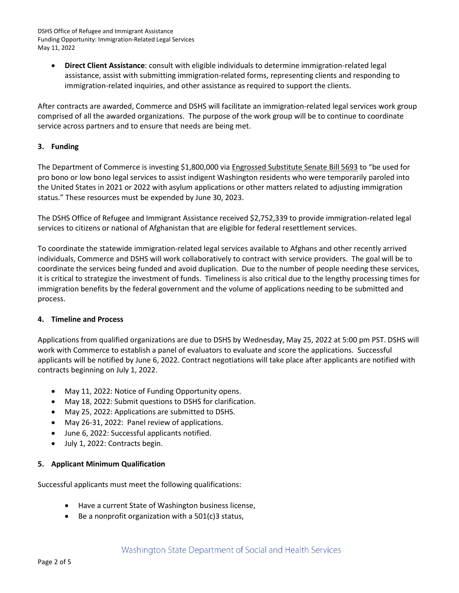DSHS Office of Refugee and Immigrant Assistance Funding Opportunity: Immigration-Related Legal Services May 11, 2022

 **Direct Client Assistance**: consult with eligible individuals to determine immigration-related legal assistance, assist with submitting immigration-related forms, representing clients and responding to immigration-related inquiries, and other assistance as required to support the clients.

After contracts are awarded, Commerce and DSHS will facilitate an immigration-related legal services work group comprised of all the awarded organizations. The purpose of the work group will be to continue to coordinate service across partners and to ensure that needs are being met.

#### **3. Funding**

The Department of Commerce is investing \$1,800,000 via [Engrossed Substitute Senate Bill 5693](https://lawfilesext.leg.wa.gov/biennium/2021-22/Pdf/Bills/Session%20Laws/Senate/5693-S.SL.pdf#page=1) to "be used for pro bono or low bono legal services to assist indigent Washington residents who were temporarily paroled into the United States in 2021 or 2022 with asylum applications or other matters related to adjusting immigration status." These resources must be expended by June 30, 2023.

The DSHS Office of Refugee and Immigrant Assistance received \$2,752,339 to provide immigration-related legal services to citizens or national of Afghanistan that are eligible for federal resettlement services.

To coordinate the statewide immigration-related legal services available to Afghans and other recently arrived individuals, Commerce and DSHS will work collaboratively to contract with service providers. The goal will be to coordinate the services being funded and avoid duplication. Due to the number of people needing these services, it is critical to strategize the investment of funds. Timeliness is also critical due to the lengthy processing times for immigration benefits by the federal government and the volume of applications needing to be submitted and process.

#### **4. Timeline and Process**

Applications from qualified organizations are due to DSHS by Wednesday, May 25, 2022 at 5:00 pm PST. DSHS will work with Commerce to establish a panel of evaluators to evaluate and score the applications. Successful applicants will be notified by June 6, 2022. Contract negotiations will take place after applicants are notified with contracts beginning on July 1, 2022.

- May 11, 2022: Notice of Funding Opportunity opens.
- May 18, 2022: Submit questions to DSHS for clarification.
- May 25, 2022: Applications are submitted to DSHS.
- May 26-31, 2022: Panel review of applications.
- June 6, 2022: Successful applicants notified.
- July 1, 2022: Contracts begin.

#### **5. Applicant Minimum Qualification**

Successful applicants must meet the following qualifications:

- Have a current State of Washington business license,
- $\bullet$  Be a nonprofit organization with a 501(c)3 status,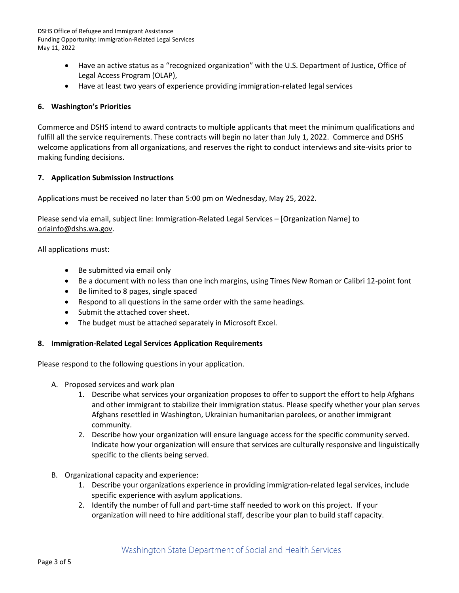DSHS Office of Refugee and Immigrant Assistance Funding Opportunity: Immigration-Related Legal Services May 11, 2022

- Have an active status as a "recognized organization" with the U.S. Department of Justice, Office of Legal Access Program (OLAP),
- Have at least two years of experience providing immigration-related legal services

#### **6. Washington's Priorities**

Commerce and DSHS intend to award contracts to multiple applicants that meet the minimum qualifications and fulfill all the service requirements. These contracts will begin no later than July 1, 2022. Commerce and DSHS welcome applications from all organizations, and reserves the right to conduct interviews and site-visits prior to making funding decisions.

#### **7. Application Submission Instructions**

Applications must be received no later than 5:00 pm on Wednesday, May 25, 2022.

Please send via email, subject line: Immigration-Related Legal Services – [Organization Name] to [oriainfo@dshs.wa.gov.](mailto:oriainfo@dshs.wa.gov)

All applications must:

- Be submitted via email only
- Be a document with no less than one inch margins, using Times New Roman or Calibri 12-point font
- Be limited to 8 pages, single spaced
- Respond to all questions in the same order with the same headings.
- Submit the attached cover sheet.
- The budget must be attached separately in Microsoft Excel.

#### **8. Immigration-Related Legal Services Application Requirements**

Please respond to the following questions in your application.

- A. Proposed services and work plan
	- 1. Describe what services your organization proposes to offer to support the effort to help Afghans and other immigrant to stabilize their immigration status. Please specify whether your plan serves Afghans resettled in Washington, Ukrainian humanitarian parolees, or another immigrant community.
	- 2. Describe how your organization will ensure language access for the specific community served. Indicate how your organization will ensure that services are culturally responsive and linguistically specific to the clients being served.
- B. Organizational capacity and experience:
	- 1. Describe your organizations experience in providing immigration-related legal services, include specific experience with asylum applications.
	- 2. Identify the number of full and part-time staff needed to work on this project. If your organization will need to hire additional staff, describe your plan to build staff capacity.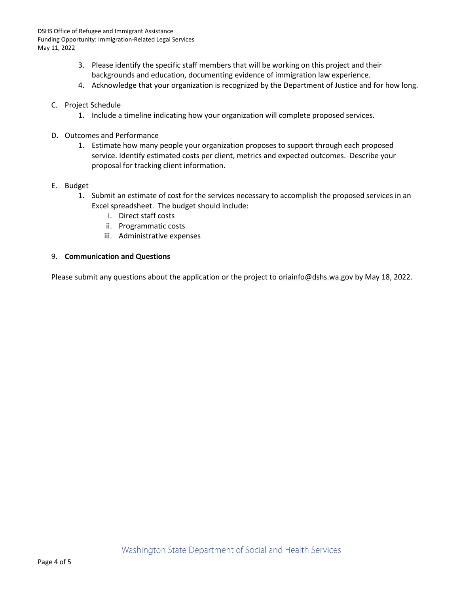- 3. Please identify the specific staff members that will be working on this project and their backgrounds and education, documenting evidence of immigration law experience.
- 4. Acknowledge that your organization is recognized by the Department of Justice and for how long.
- C. Project Schedule
	- 1. Include a timeline indicating how your organization will complete proposed services.
- D. Outcomes and Performance
	- 1. Estimate how many people your organization proposes to support through each proposed service. Identify estimated costs per client, metrics and expected outcomes. Describe your proposal for tracking client information.
- E. Budget
	- 1. Submit an estimate of cost for the services necessary to accomplish the proposed services in an Excel spreadsheet. The budget should include:
		- i. Direct staff costs
		- ii. Programmatic costs
		- iii. Administrative expenses

#### 9. **Communication and Questions**

Please submit any questions about the application or the project to *oriainfo@dshs.wa.gov* by May 18, 2022.